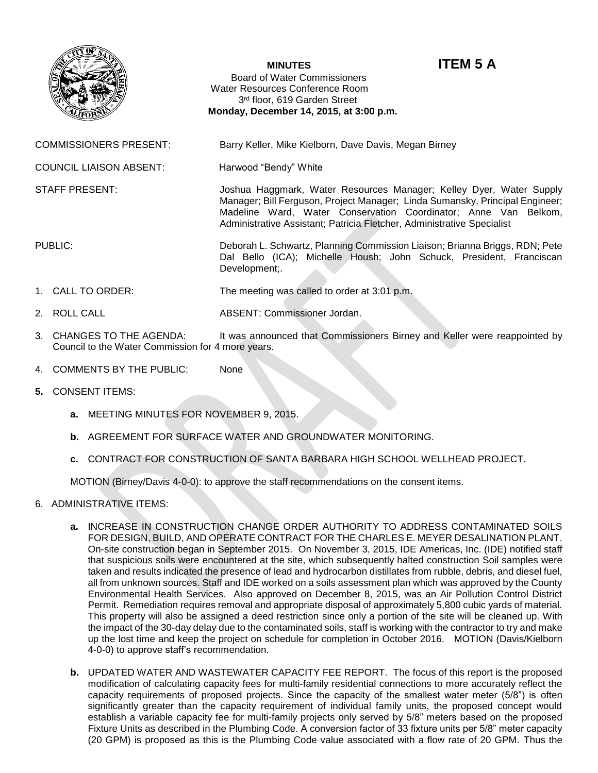

## **MINUTES ITEM 5 A**

Board of Water Commissioners Water Resources Conference Room 3rd floor, 619 Garden Street  **Monday, December 14, 2015, at 3:00 p.m.**

COMMISSIONERS PRESENT: Barry Keller, Mike Kielborn, Dave Davis, Megan Birney

COUNCIL LIAISON ABSENT: Harwood "Bendy" White

STAFF PRESENT: Joshua Haggmark, Water Resources Manager; Kelley Dyer, Water Supply

PUBLIC: Deborah L. Schwartz, Planning Commission Liaison; Brianna Briggs, RDN; Pete Dal Bello (ICA); Michelle Housh; John Schuck, President, Franciscan Development;.

Administrative Assistant; Patricia Fletcher, Administrative Specialist

Manager; Bill Ferguson, Project Manager; Linda Sumansky, Principal Engineer; Madeline Ward, Water Conservation Coordinator; Anne Van Belkom,

- 1. CALL TO ORDER: The meeting was called to order at 3:01 p.m.
- 2. ROLL CALL ABSENT: Commissioner Jordan.
- 3. CHANGES TO THE AGENDA: It was announced that Commissioners Birney and Keller were reappointed by Council to the Water Commission for 4 more years.
- 4. COMMENTS BY THE PUBLIC: None
- **5.** CONSENT ITEMS:
	- **a.** MEETING MINUTES FOR NOVEMBER 9, 2015.
	- **b.** AGREEMENT FOR SURFACE WATER AND GROUNDWATER MONITORING.
	- **c.** CONTRACT FOR CONSTRUCTION OF SANTA BARBARA HIGH SCHOOL WELLHEAD PROJECT.

MOTION (Birney/Davis 4-0-0): to approve the staff recommendations on the consent items.

- 6. ADMINISTRATIVE ITEMS:
	- **a.** INCREASE IN CONSTRUCTION CHANGE ORDER AUTHORITY TO ADDRESS CONTAMINATED SOILS FOR DESIGN, BUILD, AND OPERATE CONTRACT FOR THE CHARLES E. MEYER DESALINATION PLANT. On-site construction began in September 2015. On November 3, 2015, IDE Americas, Inc. (IDE) notified staff that suspicious soils were encountered at the site, which subsequently halted construction Soil samples were taken and results indicated the presence of lead and hydrocarbon distillates from rubble, debris, and diesel fuel, all from unknown sources. Staff and IDE worked on a soils assessment plan which was approved by the County Environmental Health Services. Also approved on December 8, 2015, was an Air Pollution Control District Permit. Remediation requires removal and appropriate disposal of approximately 5,800 cubic yards of material. This property will also be assigned a deed restriction since only a portion of the site will be cleaned up. With the impact of the 30-day delay due to the contaminated soils, staff is working with the contractor to try and make up the lost time and keep the project on schedule for completion in October 2016. MOTION (Davis/Kielborn 4-0-0) to approve staff's recommendation.
	- **b.** UPDATED WATER AND WASTEWATER CAPACITY FEE REPORT. The focus of this report is the proposed modification of calculating capacity fees for multi-family residential connections to more accurately reflect the capacity requirements of proposed projects. Since the capacity of the smallest water meter (5/8") is often significantly greater than the capacity requirement of individual family units, the proposed concept would establish a variable capacity fee for multi-family projects only served by 5/8" meters based on the proposed Fixture Units as described in the Plumbing Code. A conversion factor of 33 fixture units per 5/8" meter capacity (20 GPM) is proposed as this is the Plumbing Code value associated with a flow rate of 20 GPM. Thus the